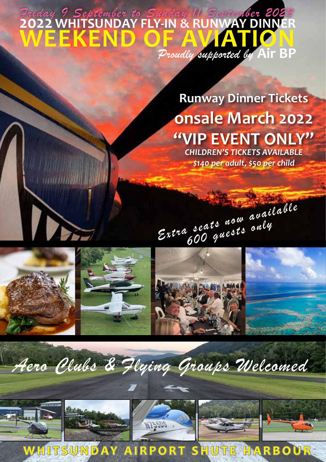### *Aay 9 September to Sunday 11 September 202*<br>22 WHITSUNDAY FLY-IN & RUNWAY DINNE<br>**I E E K E N D O F A WIAT 101 WEEKEND OF AVIATION** *Proudly supported by* **Air BP** *riday 9 September to Sunday 11 Septem*

**Runway Dinner Tickets onsale March 2022 "VIP EVENT ONLY"**

*CHILDREN'S TICKETS AVAILABLE \$140 per adult, \$50 per child*





IN





# *Aero Clubs & Flying Groups Welcomed*









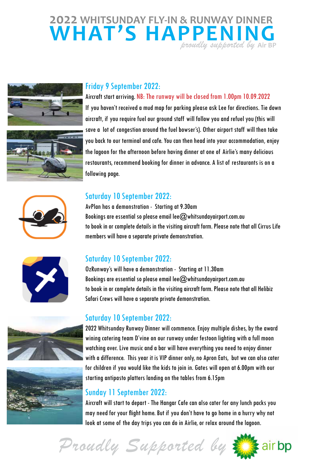## **2022 WHITSUNDAY FLY-IN & RUNWAY DINNER WHAT'S HAPPENING** *proudly supported by* **Air BP**





#### Friday 9 September 2022:

Aircraft start arriving. NB: The runway will be closed from 1.00pm 10.09.2022

If you haven't received a mud map for parking please ask Lee for directions. Tie down aircraft, if you require fuel our ground staff will follow you and refuel you (this will save a lot of congestion around the fuel bowser's). Other airport staff will then take you back to our terminal and cafe. You can then head into your accommodation, enjoy the lagoon for the afternoon before having dinner at one of Airlie's many delicious restaurants, recommend booking for dinner in advance. A list of restaurants is on a following page.



#### Saturday 10 September 2022:

AvPlan has a demonstration - Starting at 9.30am Bookings are essential so please email lee $@$ whitsundayairport.com.au to book in or complete details in the visiting aircraft form. Please note that all Cirrus Life members will have a separate private demonstration.



#### Saturday 10 September 2022:

OzRunway's will have a demonstration - Starting at 11.30am Bookings are essential so please email lee $@$ whitsundayairport.com.au to book in or complete details in the visiting aircraft form. Please note that all Helibiz Safari Crews will have a separate private demonstration.

#### Saturday 10 September 2022:





2022 Whitsunday Runway Dinner will commence. Enjoy multiple dishes, by the award wining catering team D'vine on our runway under festoon lighting with a full moon watching over. Live music and a bar will have everything you need to enjoy dinner with a difference. This year it is VIP dinner only, no Apron Eats, but we can also cater for children if you would like the kids to join in. Gates will open at 6.00pm with our starting antipasto platters landing on the tables from 6.15pm

#### Sunday 11 September 2022:

Aircraft will start to depart - The Hangar Cafe can also cater for any lunch packs you may need for your flight home. But if you don't have to go home in a hurry why not look at some of the day trips you can do in Airlie, or relax around the lagoon.

air bp

*Proudly Supported by*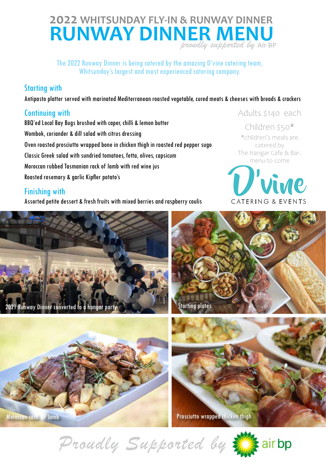### **2022 WHITSUNDAY FLY-IN & RUNWAY DINNER RUNWAY DINNER MENU** *proudly supported by* **Air BP**

The 2022 Runway Dinner is being catered by the amazing D'vine catering team, Whitsunday's largest and most experienced catering company.

#### Starting with

Antipasto platter served with marinated Mediterranean roasted vegetable, cured meats & cheeses with breads & crackers

#### Continuing with

BBQ'ed Local Bay Bugs brushed with caper, chilli & lemon butter Wombok, coriander & dill salad with citrus dressing Oven roasted prosciutto wrapped bone in chicken thigh in roasted red pepper sugo Classic Greek salad with sundried tomatoes, fetta, olives, capsicum Moroccan rubbed Tasmanian rack of lamb with red wine jus Roasted rosemary & garlic Kipfler potato's

#### Finishing with

Assorted petite dessert & fresh fruits with mixed berries and raspberry coulis

#### Adults \$140 each

Children \$50\* \*children's meals are catered by The Hangar Cafe & Bar, menu to come









*Proudly Supported by* 



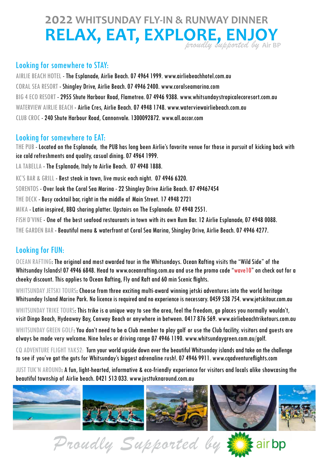# **2022 WHITSUNDAY FLY-IN & RUNWAY DINNER RELAX, EAT, EXPLORE, ENJOY** *proudly supported by* **Air BP**

#### Looking for somewhere to STAY:

AIRLIE BEACH HOTEL - The Esplanade, Airlie Beach. 07 4964 1999. www.airliebeachhotel.com.au CORAL SEA RESORT - Shingley Drive, Airlie Beach. 07 4946 2400. www.coralseamarina.com BIG 4 ECO RESORT - 2955 Shute Harbour Road, Flametree. 07 4946 9388. www.whitsundaystropicalecoresort.com.au WATERVIEW AIRLIE BEACH - Airlie Cres, Airlie Beach. 07 4948 1748. www.waterviewairliebeach.com.au CLUB CROC - 240 Shute Harbour Road, Cannonvale. 1300092872. www.all.accor.com

#### Looking for somewhere to EAT:

THE PUB - Located on the Esplanade, the PUB has long been Airlie's favorite venue for those in pursuit of kicking back with ice cold refreshments and quality, casual dining. 07 4964 1999.

LA TABELLA - The Esplanade, Italy to Airlie Beach. 07 4948 1888.

KC'S BAR & GRILL - Best steak in town, live music each night. 07 4946 6320.

SORENTOS - Over look the Coral Sea Marina - 22 Shingley Drive Airlie Beach. 07 49467454

THE DECK - Busy cocktail bar, right in the middle of Main Street. 17 4948 2721

MIKA - Latin inspired, BBQ sharing platter. Upstairs on The Esplanade. 07 4948 2551.

FISH D'VINE - One of the best seafood restaurants in town with its own Rum Bar. 12 Airlie Esplanade, 07 4948 0088.

THE GARDEN BAR - Beautiful menu & waterfront at Coral Sea Marina, Shingley Drive, Airlie Beach. 07 4946 4277.

#### Looking for FUN:

OCEAN RAFTING: The original and most awarded tour in the Whitsundays. Ocean Rafting visits the "Wild Side" of the Whitsunday Islands! 07 4946 6848. Head to www.oceanrafting.com.au and use the promo code "wave10" on check out for a cheeky discount. This applies to Ocean Rafting, Fly and Raft and 60 min Scenic flights.

WHITSUNDAY JETSKI TOURS: Choose from three exciting multi-award winning jetski adventures into the world heritage Whitsunday Island Marine Park. No licence is required and no experience is necessary. 0459 538 754. www.jetskitour.com.au

WHITSUNDAY TRIKE TOURS: This trike is a unique way to see the area, feel the freedom, go places you normally wouldn't, visit Dingo Beach, Hydeaway Bay, Conway Beach or anywhere in between. 0417 876 569. www.airliebeachtriketours.com.au

WHITSUNDAY GREEN GOLF: You don't need to be a Club member to play golf or use the Club facility, visitors and quests are always be made very welcome. Nine holes or driving range 07 4946 1190. www.whitsundaygreen.com.au/golf.

CQ ADVENTURE FLIGHT YAK52: Turn your world upside down over the beautiful Whitsunday islands and take on the challenge to see if you've got the guts for Whitsunday's biggest adrenaline rush!. 07 4946 9911. www.cqadventureflights.com

JUST TUK'N AROUND: A fun, light-hearted, informative & eco-friendly experience for visitors and locals alike showcasing the beautiful township of Airlie beach. 0421 513 033. www.justtuknaround.com.au









*Proudly Supported by* 

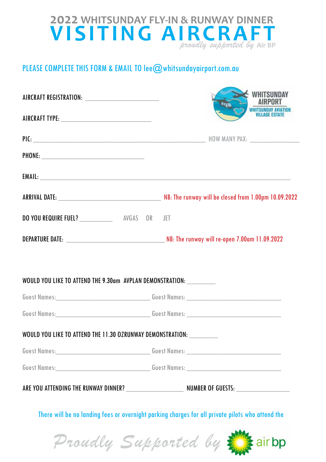### **2022 WHITSUNDAY FLY-IN & RUNWAY DINNER VISITING AIRCRAFT** *proudly supported by* **Air BP**

#### PLEASE COMPLETE THIS FORM & EMAIL TO lee@whitsundayairport.com.au

| AIRCRAFT REGISTRATION: _______________________________                                                          |  |  | WHITSUN           |  |  |
|-----------------------------------------------------------------------------------------------------------------|--|--|-------------------|--|--|
|                                                                                                                 |  |  | <b>WHITSUNDAY</b> |  |  |
|                                                                                                                 |  |  |                   |  |  |
| PHONE: PHONE PHONE                                                                                              |  |  |                   |  |  |
|                                                                                                                 |  |  |                   |  |  |
|                                                                                                                 |  |  |                   |  |  |
| DO YOU REQUIRE FUEL? ___________________ AVGAS OR JET                                                           |  |  |                   |  |  |
| DEPARTURE DATE: NB: The runway will re-open 7.00am 11.09.2022                                                   |  |  |                   |  |  |
|                                                                                                                 |  |  |                   |  |  |
| WOULD YOU LIKE TO ATTEND THE 9.30am AVPLAN DEMONSTRATION: __________                                            |  |  |                   |  |  |
|                                                                                                                 |  |  |                   |  |  |
|                                                                                                                 |  |  |                   |  |  |
| WOULD YOU LIKE TO ATTEND THE 11.30 OZRUNWAY DEMONSTRATION: __________                                           |  |  |                   |  |  |
|                                                                                                                 |  |  |                   |  |  |
|                                                                                                                 |  |  |                   |  |  |
|                                                                                                                 |  |  |                   |  |  |
| the contract of the contract of the contract of the contract of the contract of the contract of the contract of |  |  |                   |  |  |

There will be no landing fees or overnight parking charges for all private pilots who attend the